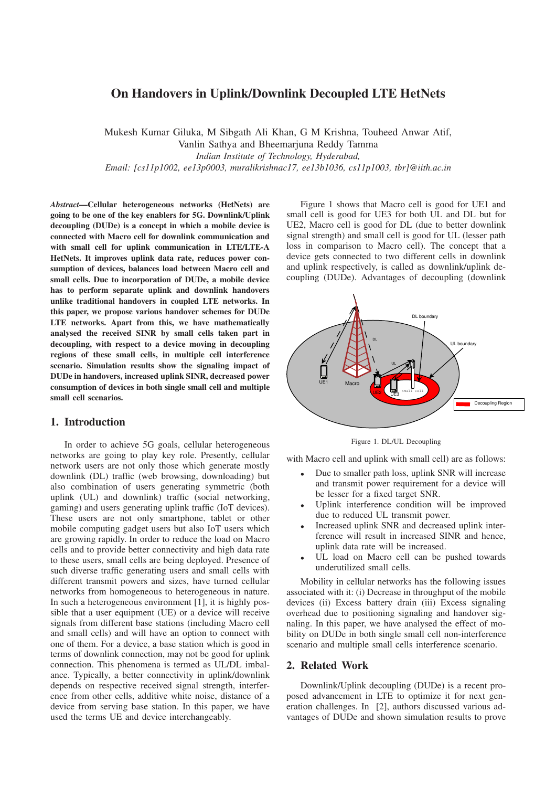# **On Handovers in Uplink/Downlink Decoupled LTE HetNets**

Mukesh Kumar Giluka, M Sibgath Ali Khan, G M Krishna, Touheed Anwar Atif,

Vanlin Sathya and Bheemarjuna Reddy Tamma *Indian Institute of Technology, Hyderabad, Email: [cs11p1002, ee13p0003, muralikrishnac17, ee13b1036, cs11p1003, tbr]@iith.ac.in*

*Abstract***—Cellular heterogeneous networks (HetNets) are going to be one of the key enablers for 5G. Downlink/Uplink decoupling (DUDe) is a concept in which a mobile device is connected with Macro cell for downlink communication and with small cell for uplink communication in LTE/LTE-A HetNets. It improves uplink data rate, reduces power consumption of devices, balances load between Macro cell and small cells. Due to incorporation of DUDe, a mobile device has to perform separate uplink and downlink handovers unlike traditional handovers in coupled LTE networks. In this paper, we propose various handover schemes for DUDe LTE networks. Apart from this, we have mathematically analysed the received SINR by small cells taken part in decoupling, with respect to a device moving in decoupling regions of these small cells, in multiple cell interference scenario. Simulation results show the signaling impact of DUDe in handovers, increased uplink SINR, decreased power consumption of devices in both single small cell and multiple small cell scenarios.**

#### **1. Introduction**

In order to achieve 5G goals, cellular heterogeneous networks are going to play key role. Presently, cellular network users are not only those which generate mostly downlink (DL) traffic (web browsing, downloading) but also combination of users generating symmetric (both uplink (UL) and downlink) traffic (social networking, gaming) and users generating uplink traffic (IoT devices). These users are not only smartphone, tablet or other mobile computing gadget users but also IoT users which are growing rapidly. In order to reduce the load on Macro cells and to provide better connectivity and high data rate to these users, small cells are being deployed. Presence of such diverse traffic generating users and small cells with different transmit powers and sizes, have turned cellular networks from homogeneous to heterogeneous in nature. In such a heterogeneous environment [1], it is highly possible that a user equipment (UE) or a device will receive signals from different base stations (including Macro cell and small cells) and will have an option to connect with one of them. For a device, a base station which is good in terms of downlink connection, may not be good for uplink connection. This phenomena is termed as UL/DL imbalance. Typically, a better connectivity in uplink/downlink depends on respective received signal strength, interference from other cells, additive white noise, distance of a device from serving base station. In this paper, we have used the terms UE and device interchangeably.

Figure 1 shows that Macro cell is good for UE1 and small cell is good for UE3 for both UL and DL but for UE2, Macro cell is good for DL (due to better downlink signal strength) and small cell is good for UL (lesser path loss in comparison to Macro cell). The concept that a device gets connected to two different cells in downlink and uplink respectively, is called as downlink/uplink decoupling (DUDe). Advantages of decoupling (downlink



Figure 1. DL/UL Decoupling

with Macro cell and uplink with small cell) are as follows:

- Due to smaller path loss, uplink SNR will increase and transmit power requirement for a device will be lesser for a fixed target SNR.
- Uplink interference condition will be improved due to reduced UL transmit power.
- Increased uplink SNR and decreased uplink interference will result in increased SINR and hence, uplink data rate will be increased.
- UL load on Macro cell can be pushed towards underutilized small cells.

Mobility in cellular networks has the following issues associated with it: (i) Decrease in throughput of the mobile devices (ii) Excess battery drain (iii) Excess signaling overhead due to positioning signaling and handover signaling. In this paper, we have analysed the effect of mobility on DUDe in both single small cell non-interference scenario and multiple small cells interference scenario.

### **2. Related Work**

Downlink/Uplink decoupling (DUDe) is a recent proposed advancement in LTE to optimize it for next generation challenges. In [2], authors discussed various advantages of DUDe and shown simulation results to prove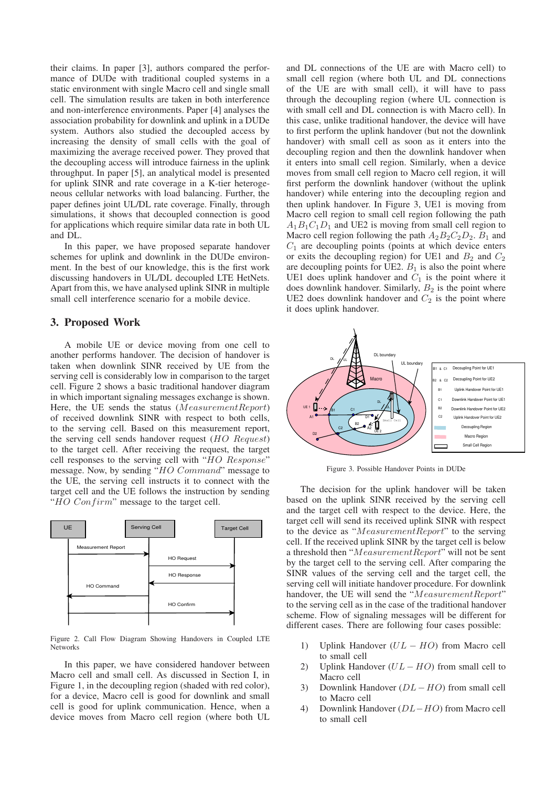their claims. In paper [3], authors compared the performance of DUDe with traditional coupled systems in a static environment with single Macro cell and single small cell. The simulation results are taken in both interference and non-interference environments. Paper [4] analyses the association probability for downlink and uplink in a DUDe system. Authors also studied the decoupled access by increasing the density of small cells with the goal of maximizing the average received power. They proved that the decoupling access will introduce fairness in the uplink throughput. In paper [5], an analytical model is presented for uplink SINR and rate coverage in a K-tier heterogeneous cellular networks with load balancing. Further, the paper defines joint UL/DL rate coverage. Finally, through simulations, it shows that decoupled connection is good for applications which require similar data rate in both UL and DL.

In this paper, we have proposed separate handover schemes for uplink and downlink in the DUDe environment. In the best of our knowledge, this is the first work discussing handovers in UL/DL decoupled LTE HetNets. Apart from this, we have analysed uplink SINR in multiple small cell interference scenario for a mobile device.

### **3. Proposed Work**

A mobile UE or device moving from one cell to another performs handover. The decision of handover is taken when downlink SINR received by UE from the serving cell is considerably low in comparison to the target cell. Figure 2 shows a basic traditional handover diagram in which important signaling messages exchange is shown. Here, the UE sends the status (MeasurementReport) of received downlink SINR with respect to both cells, to the serving cell. Based on this measurement report, the serving cell sends handover request (HO Request) to the target cell. After receiving the request, the target cell responses to the serving cell with "HO Response" message. Now, by sending "HO Command" message to the UE, the serving cell instructs it to connect with the target cell and the UE follows the instruction by sending " $HO\ Confirm$ " message to the target cell.



Figure 2. Call Flow Diagram Showing Handovers in Coupled LTE Networks

In this paper, we have considered handover between Macro cell and small cell. As discussed in Section I, in Figure 1, in the decoupling region (shaded with red color), for a device, Macro cell is good for downlink and small cell is good for uplink communication. Hence, when a device moves from Macro cell region (where both UL

and DL connections of the UE are with Macro cell) to small cell region (where both UL and DL connections of the UE are with small cell), it will have to pass through the decoupling region (where UL connection is with small cell and DL connection is with Macro cell). In this case, unlike traditional handover, the device will have to first perform the uplink handover (but not the downlink handover) with small cell as soon as it enters into the decoupling region and then the downlink handover when it enters into small cell region. Similarly, when a device moves from small cell region to Macro cell region, it will first perform the downlink handover (without the uplink handover) while entering into the decoupling region and then uplink handover. In Figure 3, UE1 is moving from Macro cell region to small cell region following the path  $A_1B_1C_1D_1$  and UE2 is moving from small cell region to Macro cell region following the path  $A_2B_2C_2D_2$ .  $B_1$  and  $C_1$  are decoupling points (points at which device enters or exits the decoupling region) for UE1 and  $B_2$  and  $C_2$ are decoupling points for UE2.  $B_1$  is also the point where UE1 does uplink handover and  $C_1$  is the point where it does downlink handover. Similarly,  $B_2$  is the point where UE2 does downlink handover and  $C_2$  is the point where it does uplink handover.



Figure 3. Possible Handover Points in DUDe

The decision for the uplink handover will be taken based on the uplink SINR received by the serving cell and the target cell with respect to the device. Here, the target cell will send its received uplink SINR with respect to the device as "MeasurementReport" to the serving cell. If the received uplink SINR by the target cell is below a threshold then "MeasurementReport" will not be sent by the target cell to the serving cell. After comparing the SINR values of the serving cell and the target cell, the serving cell will initiate handover procedure. For downlink handover, the UE will send the "MeasurementReport" to the serving cell as in the case of the traditional handover scheme. Flow of signaling messages will be different for different cases. There are following four cases possible:

- 1) Uplink Handover  $(UL HO)$  from Macro cell to small cell
- 2) Uplink Handover  $(UL HO)$  from small cell to Macro cell
- 3) Downlink Handover (DL− HO) from small cell to Macro cell
- 4) Downlink Handover (DL−HO) from Macro cell to small cell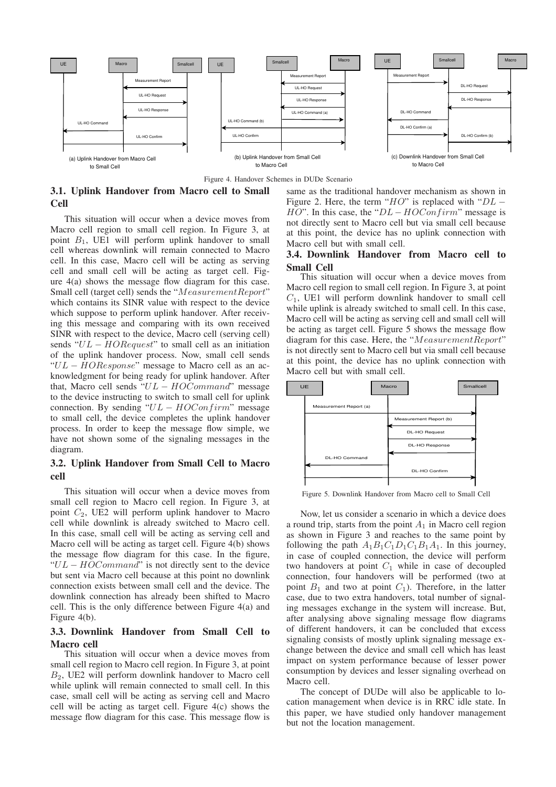



# **3.1. Uplink Handover from Macro cell to Small Cell**

This situation will occur when a device moves from Macro cell region to small cell region. In Figure 3, at point  $B_1$ , UE1 will perform uplink handover to small cell whereas downlink will remain connected to Macro cell. In this case, Macro cell will be acting as serving cell and small cell will be acting as target cell. Figure 4(a) shows the message flow diagram for this case. Small cell (target cell) sends the "MeasurementReport" which contains its SINR value with respect to the device which suppose to perform uplink handover. After receiving this message and comparing with its own received SINR with respect to the device, Macro cell (serving cell) sends " $UL - HORequest$ " to small cell as an initiation of the uplink handover process. Now, small cell sends " $UL - HOResponse$ " message to Macro cell as an acknowledgment for being ready for uplink handover. After that, Macro cell sends " $UL - HOCommand$ " message to the device instructing to switch to small cell for uplink connection. By sending " $UL - HOCon firm$ " message to small cell, the device completes the uplink handover process. In order to keep the message flow simple, we have not shown some of the signaling messages in the diagram.

# **3.2. Uplink Handover from Small Cell to Macro cell**

This situation will occur when a device moves from small cell region to Macro cell region. In Figure 3, at point  $C_2$ , UE2 will perform uplink handover to Macro cell while downlink is already switched to Macro cell. In this case, small cell will be acting as serving cell and Macro cell will be acting as target cell. Figure 4(b) shows the message flow diagram for this case. In the figure, " $UL - HOCommand$ " is not directly sent to the device but sent via Macro cell because at this point no downlink connection exists between small cell and the device. The downlink connection has already been shifted to Macro cell. This is the only difference between Figure 4(a) and Figure 4(b).

# **3.3. Downlink Handover from Small Cell to Macro cell**

This situation will occur when a device moves from small cell region to Macro cell region. In Figure 3, at point B2, UE2 will perform downlink handover to Macro cell while uplink will remain connected to small cell. In this case, small cell will be acting as serving cell and Macro cell will be acting as target cell. Figure 4(c) shows the message flow diagram for this case. This message flow is same as the traditional handover mechanism as shown in Figure 2. Here, the term " $HO$ " is replaced with " $DL HO$ ". In this case, the " $DL-HOCon firm$ " message is not directly sent to Macro cell but via small cell because at this point, the device has no uplink connection with Macro cell but with small cell.

### **3.4. Downlink Handover from Macro cell to Small Cell**

This situation will occur when a device moves from Macro cell region to small cell region. In Figure 3, at point  $C_1$ , UE1 will perform downlink handover to small cell while uplink is already switched to small cell. In this case, Macro cell will be acting as serving cell and small cell will be acting as target cell. Figure 5 shows the message flow diagram for this case. Here, the "MeasurementReport" is not directly sent to Macro cell but via small cell because at this point, the device has no uplink connection with Macro cell but with small cell.



Figure 5. Downlink Handover from Macro cell to Small Cell

Now, let us consider a scenario in which a device does a round trip, starts from the point  $A_1$  in Macro cell region as shown in Figure 3 and reaches to the same point by following the path  $A_1B_1C_1D_1C_1B_1A_1$ . In this journey, in case of coupled connection, the device will perform two handovers at point  $C_1$  while in case of decoupled connection, four handovers will be performed (two at point  $B_1$  and two at point  $C_1$ ). Therefore, in the latter case, due to two extra handovers, total number of signaling messages exchange in the system will increase. But, after analysing above signaling message flow diagrams of different handovers, it can be concluded that excess signaling consists of mostly uplink signaling message exchange between the device and small cell which has least impact on system performance because of lesser power consumption by devices and lesser signaling overhead on Macro cell.

The concept of DUDe will also be applicable to location management when device is in RRC idle state. In this paper, we have studied only handover management but not the location management.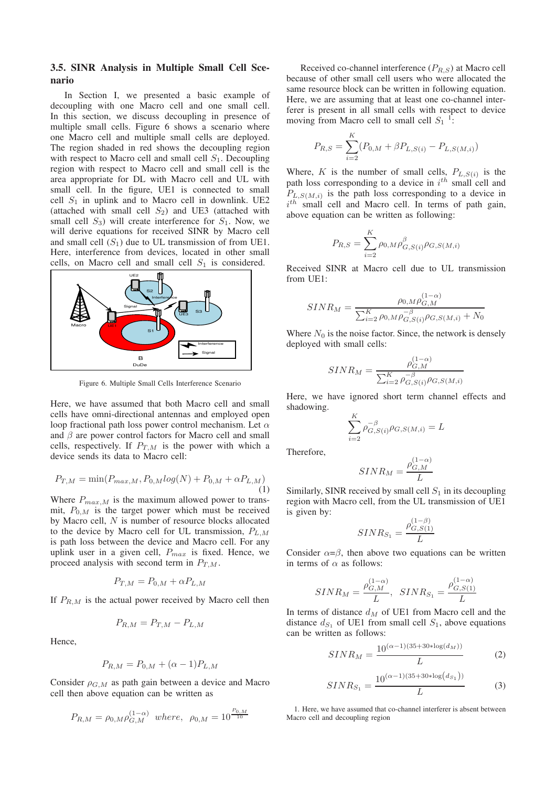### **3.5. SINR Analysis in Multiple Small Cell Scenario**

In Section I, we presented a basic example of decoupling with one Macro cell and one small cell. In this section, we discuss decoupling in presence of multiple small cells. Figure 6 shows a scenario where one Macro cell and multiple small cells are deployed. The region shaded in red shows the decoupling region with respect to Macro cell and small cell  $S_1$ . Decoupling region with respect to Macro cell and small cell is the area appropriate for DL with Macro cell and UL with small cell. In the figure, UE1 is connected to small cell  $S_1$  in uplink and to Macro cell in downlink. UE2 (attached with small cell  $S_2$ ) and UE3 (attached with small cell  $S_3$ ) will create interference for  $S_1$ . Now, we will derive equations for received SINR by Macro cell and small cell  $(S_1)$  due to UL transmission of from UE1. Here, interference from devices, located in other small cells, on Macro cell and small cell  $S_1$  is considered.



Figure 6. Multiple Small Cells Interference Scenario

Here, we have assumed that both Macro cell and small cells have omni-directional antennas and employed open loop fractional path loss power control mechanism. Let  $\alpha$ and  $\beta$  are power control factors for Macro cell and small cells, respectively. If  $P_{T,M}$  is the power with which a device sends its data to Macro cell:

$$
P_{T,M} = \min(P_{max,M}, P_{0,M} log(N) + P_{0,M} + \alpha P_{L,M})
$$
\n(1)

Where  $P_{max,M}$  is the maximum allowed power to transmit,  $P_{0,M}$  is the target power which must be received by Macro cell, N is number of resource blocks allocated to the device by Macro cell for UL transmission,  $P_{L,M}$ is path loss between the device and Macro cell. For any uplink user in a given cell,  $P_{max}$  is fixed. Hence, we proceed analysis with second term in  $P_{T,M}$ .

$$
P_{T,M} = P_{0,M} + \alpha P_{L,M}
$$

If  $P_{RM}$  is the actual power received by Macro cell then

$$
P_{R,M} = P_{T,M} - P_{L,M}
$$

Hence,

$$
P_{R,M} = P_{0,M} + (\alpha - 1)P_{L,M}
$$

Consider  $\rho_{G,M}$  as path gain between a device and Macro cell then above equation can be written as

$$
P_{R,M} = \rho_{0,M} \rho_{G,M}^{(1-\alpha)}
$$
 where,  $\rho_{0,M} = 10^{\frac{P_{0,M}}{10}}$ 

Received co-channel interference  $(P_{R,S})$  at Macro cell because of other small cell users who were allocated the same resource block can be written in following equation. Here, we are assuming that at least one co-channel interferer is present in all small cells with respect to device moving from Macro cell to small cell  $S_1$ <sup>1</sup>:

$$
P_{R,S} = \sum_{i=2}^{K} (P_{0,M} + \beta P_{L,S(i)} - P_{L,S(M,i)})
$$

Where, K is the number of small cells,  $P_{L,S(i)}$  is the path loss corresponding to a device in  $i^{th}$  small cell and  $P_{L,S(M,i)}$  is the path loss corresponding to a device in  $i^{th}$  small cell and Macro cell. In terms of path gain, above equation can be written as following:

$$
P_{R,S} = \sum_{i=2}^{K} \rho_{0,M} \rho_{G,S(i)}^{\beta} \rho_{G,S(M,i)}
$$

Received SINR at Macro cell due to UL transmission from UE1:

$$
SINR_M = \frac{\rho_{0,M} \rho_{G,M}^{(1-\alpha)}}{\sum_{i=2}^{K} \rho_{0,M} \rho_{G,S(i)}^{-\beta} \rho_{G,S(M,i)} + N_0}
$$

Where  $N_0$  is the noise factor. Since, the network is densely deployed with small cells:

$$
SINR_M = \frac{\rho_{G,M}^{(1-\alpha)}}{\sum_{i=2}^{K} \rho_{G,S(i)}^{-\beta} \rho_{G,S(M,i)}}
$$

Here, we have ignored short term channel effects and shadowing.

$$
\sum_{i=2}^{K} \rho_{G,S(i)}^{-\beta} \rho_{G,S(M,i)} = L
$$

Therefore,

$$
SINR_M = \frac{\rho^{(1-\alpha)}_{G,M}}{L}
$$

Similarly, SINR received by small cell  $S_1$  in its decoupling region with Macro cell, from the UL transmission of UE1 is given by:

$$
SINR_{S_1} = \frac{\rho_{G,S(1)}^{(1-\beta)}}{L}
$$

Consider  $\alpha = \beta$ , then above two equations can be written in terms of  $\alpha$  as follows:

$$
SINR_M = \frac{\rho_{G,M}^{(1-\alpha)}}{L}, \ \ SINR_{S_1} = \frac{\rho_{G,S(1)}^{(1-\alpha)}}{L}
$$

In terms of distance  $d_M$  of UE1 from Macro cell and the distance  $d_{S_1}$  of UE1 from small cell  $S_1$ , above equations can be written as follows:

$$
SINR_M = \frac{10^{(\alpha - 1)(35 + 30 * \log(d_M))}}{L} \tag{2}
$$

$$
SINR_{S_1} = \frac{10^{(\alpha - 1)(35 + 30 * \log(d_{S_1}))}}{L}
$$
 (3)

1. Here, we have assumed that co-channel interferer is absent between Macro cell and decoupling region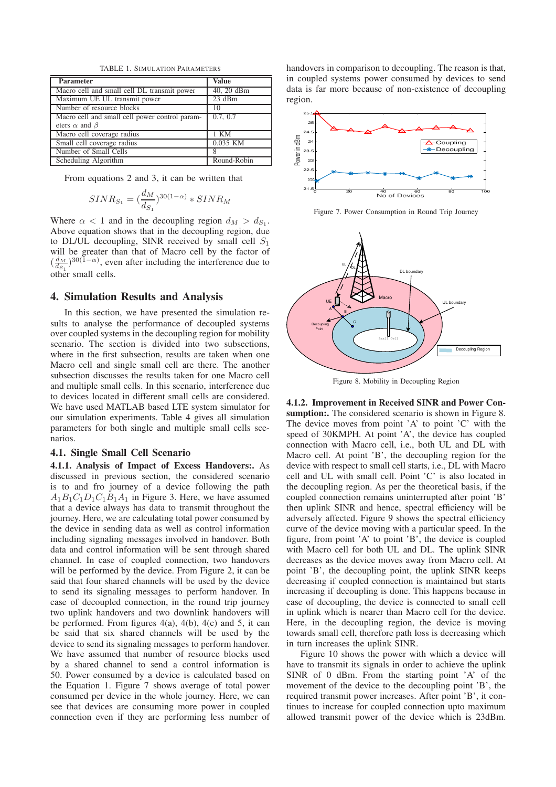TABLE 1. SIMULATION PARAMETERS

| <b>Parameter</b>                               | <b>Value</b> |
|------------------------------------------------|--------------|
| Macro cell and small cell DL transmit power    | 40, 20 dBm   |
| Maximum UE UL transmit power                   | $23$ dBm     |
| Number of resource blocks                      | 10           |
| Macro cell and small cell power control param- | 0.7, 0.7     |
| eters $\alpha$ and $\beta$                     |              |
| Macro cell coverage radius                     | 1 KM         |
| Small cell coverage radius                     | 0.035 KM     |
| Number of Small Cells                          |              |
| Scheduling Algorithm                           | Round-Robin  |

From equations 2 and 3, it can be written that

$$
SINR_{S_1} = (\frac{d_M}{d_{S_1}})^{30(1-\alpha)} * SINR_M
$$

Where  $\alpha < 1$  and in the decoupling region  $d_M > d_{S_1}$ . Above equation shows that in the decoupling region, due to DL/UL decoupling, SINR received by small cell  $S_1$ will be greater than that of Macro cell by the factor of  $\left(\frac{d_M}{ds_1}\right)^{30(1-\alpha)}$ , even after including the interference due to other small cells.

### **4. Simulation Results and Analysis**

In this section, we have presented the simulation results to analyse the performance of decoupled systems over coupled systems in the decoupling region for mobility scenario. The section is divided into two subsections, where in the first subsection, results are taken when one Macro cell and single small cell are there. The another subsection discusses the results taken for one Macro cell and multiple small cells. In this scenario, interference due to devices located in different small cells are considered. We have used MATLAB based LTE system simulator for our simulation experiments. Table 4 gives all simulation parameters for both single and multiple small cells scenarios.

#### **4.1. Single Small Cell Scenario**

**4.1.1. Analysis of Impact of Excess Handovers:.** As discussed in previous section, the considered scenario is to and fro journey of a device following the path  $A_1B_1C_1D_1C_1B_1A_1$  in Figure 3. Here, we have assumed that a device always has data to transmit throughout the journey. Here, we are calculating total power consumed by the device in sending data as well as control information including signaling messages involved in handover. Both data and control information will be sent through shared channel. In case of coupled connection, two handovers will be performed by the device. From Figure 2, it can be said that four shared channels will be used by the device to send its signaling messages to perform handover. In case of decoupled connection, in the round trip journey two uplink handovers and two downlink handovers will be performed. From figures  $4(a)$ ,  $4(b)$ ,  $4(c)$  and 5, it can be said that six shared channels will be used by the device to send its signaling messages to perform handover. We have assumed that number of resource blocks used by a shared channel to send a control information is 50. Power consumed by a device is calculated based on the Equation 1. Figure 7 shows average of total power consumed per device in the whole journey. Here, we can see that devices are consuming more power in coupled connection even if they are performing less number of handovers in comparison to decoupling. The reason is that, in coupled systems power consumed by devices to send data is far more because of non-existence of decoupling region.



Figure 7. Power Consumption in Round Trip Journey



Figure 8. Mobility in Decoupling Region

**4.1.2. Improvement in Received SINR and Power Con**sumption:. The considered scenario is shown in Figure 8. The device moves from point 'A' to point 'C' with the speed of 30KMPH. At point 'A', the device has coupled connection with Macro cell, i.e., both UL and DL with Macro cell. At point 'B', the decoupling region for the device with respect to small cell starts, i.e., DL with Macro cell and UL with small cell. Point 'C' is also located in the decoupling region. As per the theoretical basis, if the coupled connection remains uninterrupted after point 'B' then uplink SINR and hence, spectral efficiency will be adversely affected. Figure 9 shows the spectral efficiency curve of the device moving with a particular speed. In the figure, from point 'A' to point 'B', the device is coupled with Macro cell for both UL and DL. The uplink SINR decreases as the device moves away from Macro cell. At point 'B', the decoupling point, the uplink SINR keeps decreasing if coupled connection is maintained but starts increasing if decoupling is done. This happens because in case of decoupling, the device is connected to small cell in uplink which is nearer than Macro cell for the device. Here, in the decoupling region, the device is moving towards small cell, therefore path loss is decreasing which in turn increases the uplink SINR.

Figure 10 shows the power with which a device will have to transmit its signals in order to achieve the uplink SINR of 0 dBm. From the starting point 'A' of the movement of the device to the decoupling point 'B', the required transmit power increases. After point 'B', it continues to increase for coupled connection upto maximum allowed transmit power of the device which is 23dBm.